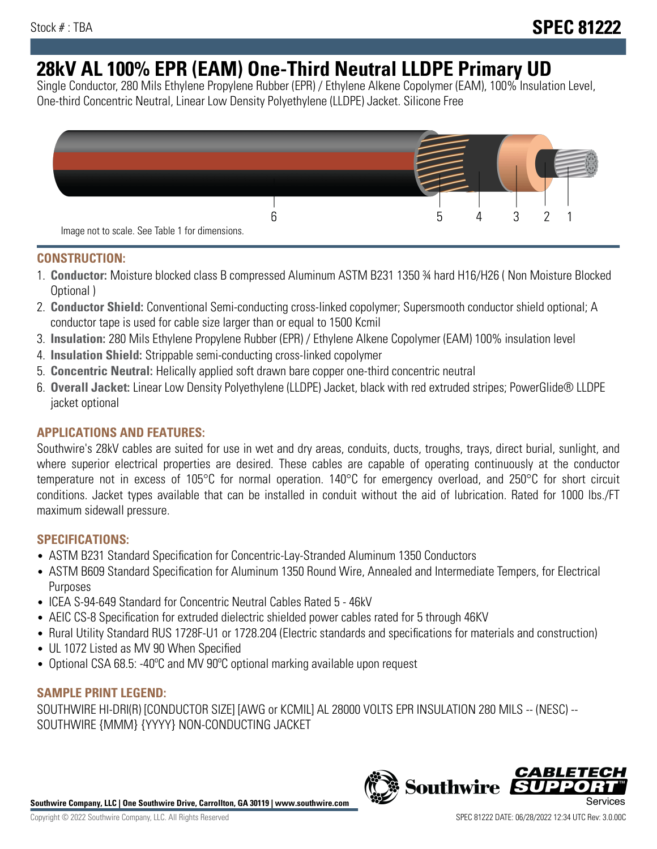# **28kV AL 100% EPR (EAM) One-Third Neutral LLDPE Primary UD**

Single Conductor, 280 Mils Ethylene Propylene Rubber (EPR) / Ethylene Alkene Copolymer (EAM), 100% Insulation Level, One-third Concentric Neutral, Linear Low Density Polyethylene (LLDPE) Jacket. Silicone Free



## **CONSTRUCTION:**

- 1. **Conductor:** Moisture blocked class B compressed Aluminum ASTM B231 1350 ¾ hard H16/H26 ( Non Moisture Blocked Optional )
- 2. **Conductor Shield:** Conventional Semi-conducting cross-linked copolymer; Supersmooth conductor shield optional; A conductor tape is used for cable size larger than or equal to 1500 Kcmil
- 3. **Insulation:** 280 Mils Ethylene Propylene Rubber (EPR) / Ethylene Alkene Copolymer (EAM) 100% insulation level
- 4. **Insulation Shield:** Strippable semi-conducting cross-linked copolymer
- 5. **Concentric Neutral:** Helically applied soft drawn bare copper one-third concentric neutral
- 6. **Overall Jacket:** Linear Low Density Polyethylene (LLDPE) Jacket, black with red extruded stripes; PowerGlide® LLDPE jacket optional

# **APPLICATIONS AND FEATURES:**

Southwire's 28kV cables are suited for use in wet and dry areas, conduits, ducts, troughs, trays, direct burial, sunlight, and where superior electrical properties are desired. These cables are capable of operating continuously at the conductor temperature not in excess of 105°C for normal operation. 140°C for emergency overload, and 250°C for short circuit conditions. Jacket types available that can be installed in conduit without the aid of lubrication. Rated for 1000 lbs./FT maximum sidewall pressure.

## **SPECIFICATIONS:**

- ASTM B231 Standard Specification for Concentric-Lay-Stranded Aluminum 1350 Conductors
- ASTM B609 Standard Specification for Aluminum 1350 Round Wire, Annealed and Intermediate Tempers, for Electrical Purposes
- ICEA S-94-649 Standard for Concentric Neutral Cables Rated 5 46kV
- AEIC CS-8 Specification for extruded dielectric shielded power cables rated for 5 through 46KV
- Rural Utility Standard RUS 1728F-U1 or 1728.204 (Electric standards and specifications for materials and construction)
- UL 1072 Listed as MV 90 When Specified
- Optional CSA 68.5: -40ºC and MV 90ºC optional marking available upon request

## **SAMPLE PRINT LEGEND:**

SOUTHWIRE HI-DRI(R) [CONDUCTOR SIZE] [AWG or KCMIL] AL 28000 VOLTS EPR INSULATION 280 MILS -- (NESC) -- SOUTHWIRE {MMM} {YYYY} NON-CONDUCTING JACKET



**Southwire** 

*CABLE*